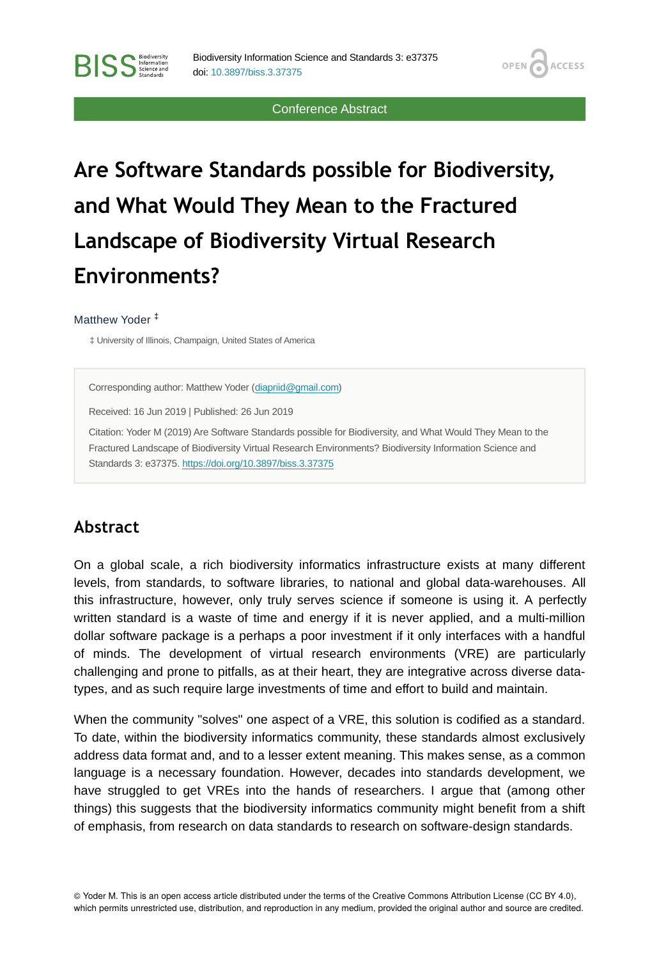Conference Abstract

**OPEN** 

**ACCESS** 

# **Are Software Standards possible for Biodiversity, and What Would They Mean to the Fractured Landscape of Biodiversity Virtual Research Environments?**

#### Matthew Yoder ‡

**RISS** Science and

‡ University of Illinois, Champaign, United States of America

Corresponding author: Matthew Yoder ([diapriid@gmail.com](mailto:diapriid@gmail.com))

Received: 16 Jun 2019 | Published: 26 Jun 2019

Citation: Yoder M (2019) Are Software Standards possible for Biodiversity, and What Would They Mean to the Fractured Landscape of Biodiversity Virtual Research Environments? Biodiversity Information Science and Standards 3: e37375.<https://doi.org/10.3897/biss.3.37375>

# **Abstract**

On a global scale, a rich biodiversity informatics infrastructure exists at many different levels, from standards, to software libraries, to national and global data-warehouses. All this infrastructure, however, only truly serves science if someone is using it. A perfectly written standard is a waste of time and energy if it is never applied, and a multi-million dollar software package is a perhaps a poor investment if it only interfaces with a handful of minds. The development of virtual research environments (VRE) are particularly challenging and prone to pitfalls, as at their heart, they are integrative across diverse datatypes, and as such require large investments of time and effort to build and maintain.

When the community "solves" one aspect of a VRE, this solution is codified as a standard. To date, within the biodiversity informatics community, these standards almost exclusively address data format and, and to a lesser extent meaning. This makes sense, as a common language is a necessary foundation. However, decades into standards development, we have struggled to get VREs into the hands of researchers. I argue that (among other things) this suggests that the biodiversity informatics community might benefit from a shift of emphasis, from research on data standards to research on software-design standards.